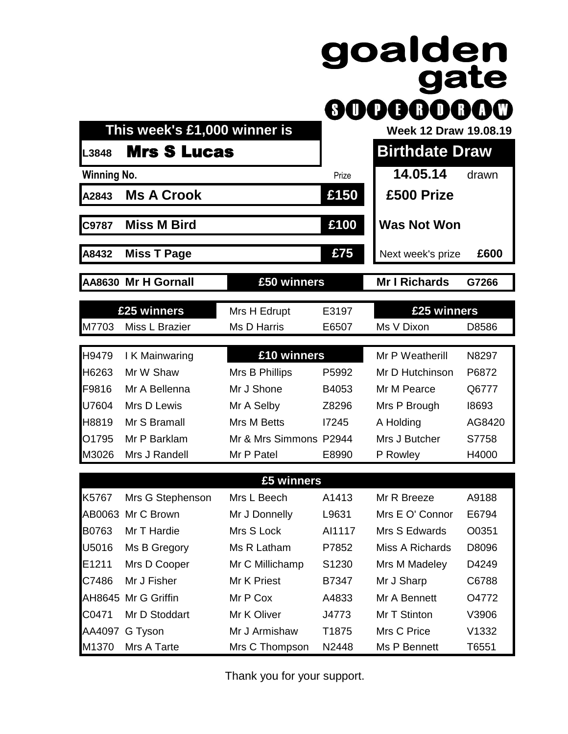## goalden<br>gate 000000000  **This week's £1,000 winner is Week 12 Draw 19.08.19**

**L3848** Mrs S Lucas **Birthdate Draw**

**Winning No. Prize 14.05.14** drawn **A2843 Ms A Crook £150 £500 Prize C9787 Miss M Bird £100 Was Not Won**

**A8432 Miss T Page £75** Next week's prize **£600**

**AA8630 Mr H Gornall £50 winners Mr I Richards G7266**

| £25 winners |                | Mrs H Edrupt           | E3197 |                 | £25 winners |  |
|-------------|----------------|------------------------|-------|-----------------|-------------|--|
| M7703       | Miss L Brazier | Ms D Harris            | E6507 | Ms V Dixon      | D8586       |  |
|             |                |                        |       |                 |             |  |
| H9479       | I K Mainwaring | £10 winners            |       | Mr P Weatherill | N8297       |  |
| H6263       | Mr W Shaw      | Mrs B Phillips         | P5992 | Mr D Hutchinson | P6872       |  |
| F9816       | Mr A Bellenna  | Mr J Shone             | B4053 | Mr M Pearce     | Q6777       |  |
| U7604       | Mrs D Lewis    | Mr A Selby             | Z8296 | Mrs P Brough    | 18693       |  |
| H8819       | Mr S Bramall   | Mrs M Betts            | 17245 | A Holding       | AG8420      |  |
| O1795       | Mr P Barklam   | Mr & Mrs Simmons P2944 |       | Mrs J Butcher   | S7758       |  |
| M3026       | Mrs J Randell  | Mr P Patel             | E8990 | P Rowley        | H4000       |  |
|             |                |                        |       |                 |             |  |

## **£5 winners**

| K5767  | Mrs G Stephenson    | Mrs L Beech     | A1413             | Mr R Breeze     | A9188 |
|--------|---------------------|-----------------|-------------------|-----------------|-------|
|        | AB0063 Mr C Brown   | Mr J Donnelly   | L9631             | Mrs E O' Connor | E6794 |
| B0763  | Mr T Hardie         | Mrs S Lock      | AI1117            | Mrs S Edwards   | O0351 |
| U5016  | Ms B Gregory        | Ms R Latham     | P7852             | Miss A Richards | D8096 |
| E1211  | Mrs D Cooper        | Mr C Millichamp | S <sub>1230</sub> | Mrs M Madeley   | D4249 |
| C7486  | Mr J Fisher         | Mr K Priest     | B7347             | Mr J Sharp      | C6788 |
|        | AH8645 Mr G Griffin | Mr P Cox        | A4833             | Mr A Bennett    | O4772 |
| C0471  | Mr D Stoddart       | Mr K Oliver     | J4773             | Mr T Stinton    | V3906 |
| AA4097 | G Tyson             | Mr J Armishaw   | T1875             | Mrs C Price     | V1332 |
| M1370  | Mrs A Tarte         | Mrs C Thompson  | N2448             | Ms P Bennett    | T6551 |

Thank you for your support.